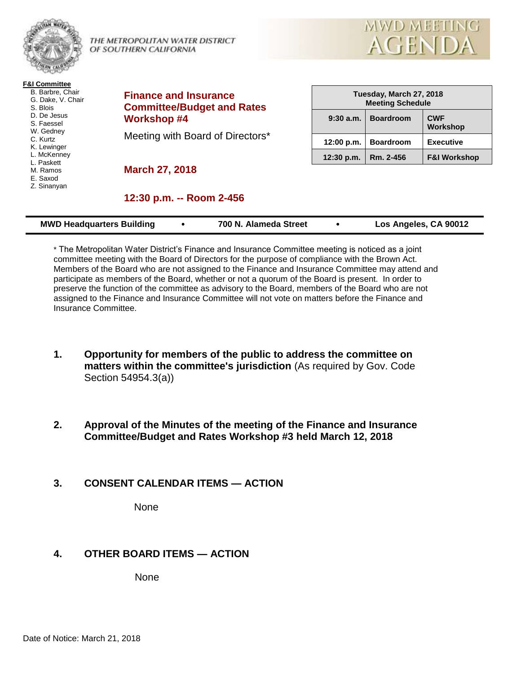

THE METROPOLITAN WATER DISTRICT OF SOUTHERN CALIFORNIA



#### **F&I Committee**

- B. Barbre, Chair G. Dake, V. Chair S. Blois D. De Jesus S. Faessel W. Gedney C. Kurtz K. Lewinger
- L. McKenney
- L. Paskett
- M. Ramos
- E. Saxod
- Z. Sinanyan

**Finance and Insurance Committee/Budget and Rates Workshop #4**

Meeting with Board of Directors\*

**March 27, 2018**

| Tuesday, March 27, 2018<br><b>Meeting Schedule</b> |                  |                         |  |  |  |
|----------------------------------------------------|------------------|-------------------------|--|--|--|
| $9:30$ a.m.                                        | <b>Boardroom</b> | <b>CWF</b><br>Workshop  |  |  |  |
| 12:00 p.m.                                         | <b>Boardroom</b> | <b>Executive</b>        |  |  |  |
| 12:30 p.m.                                         | Rm. 2-456        | <b>F&amp;I Workshop</b> |  |  |  |

## **12:30 p.m. -- Room 2-456**

| <b>MWD Headquarters Building</b> |  | 700 N. Alameda Street |  | Los Angeles, CA 90012 |
|----------------------------------|--|-----------------------|--|-----------------------|
|----------------------------------|--|-----------------------|--|-----------------------|

\* The Metropolitan Water District's Finance and Insurance Committee meeting is noticed as a joint committee meeting with the Board of Directors for the purpose of compliance with the Brown Act. Members of the Board who are not assigned to the Finance and Insurance Committee may attend and participate as members of the Board, whether or not a quorum of the Board is present. In order to preserve the function of the committee as advisory to the Board, members of the Board who are not assigned to the Finance and Insurance Committee will not vote on matters before the Finance and Insurance Committee.

- **1. Opportunity for members of the public to address the committee on matters within the committee's jurisdiction** (As required by Gov. Code Section 54954.3(a))
- **2. Approval of the Minutes of the meeting of the Finance and Insurance Committee/Budget and Rates Workshop #3 held March 12, 2018**

# **3. CONSENT CALENDAR ITEMS — ACTION**

None

# **4. OTHER BOARD ITEMS — ACTION**

None